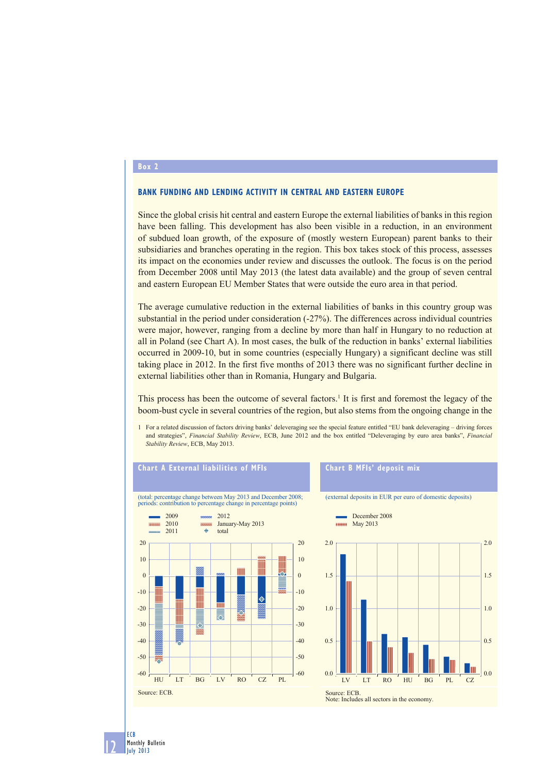## **Box 2**

## **BANK FUNDING AND LENDING ACTIVITY IN CENTRAL AND EASTERN EUROPE**

Since the global crisis hit central and eastern Europe the external liabilities of banks in this region have been falling. This development has also been visible in a reduction, in an environment of subdued loan growth, of the exposure of (mostly western European) parent banks to their subsidiaries and branches operating in the region. This box takes stock of this process, assesses its impact on the economies under review and discusses the outlook. The focus is on the period from December 2008 until May 2013 (the latest data available) and the group of seven central and eastern European EU Member States that were outside the euro area in that period.

The average cumulative reduction in the external liabilities of banks in this country group was substantial in the period under consideration (-27%). The differences across individual countries were major, however, ranging from a decline by more than half in Hungary to no reduction at all in Poland (see Chart A). In most cases, the bulk of the reduction in banks' external liabilities occurred in 2009-10, but in some countries (especially Hungary) a significant decline was still taking place in 2012. In the first five months of 2013 there was no significant further decline in external liabilities other than in Romania, Hungary and Bulgaria.

This process has been the outcome of several factors.<sup>1</sup> It is first and foremost the legacy of the boom-bust cycle in several countries of the region, but also stems from the ongoing change in the

1 For a related discussion of factors driving banks' deleveraging see the special feature entitled "EU bank deleveraging – driving forces and strategies", *Financial Stability Review*, ECB, June 2012 and the box entitled "Deleveraging by euro area banks", *Financial Stability Review*, ECB, May 2013.



12 Monthly Bulletin July 2013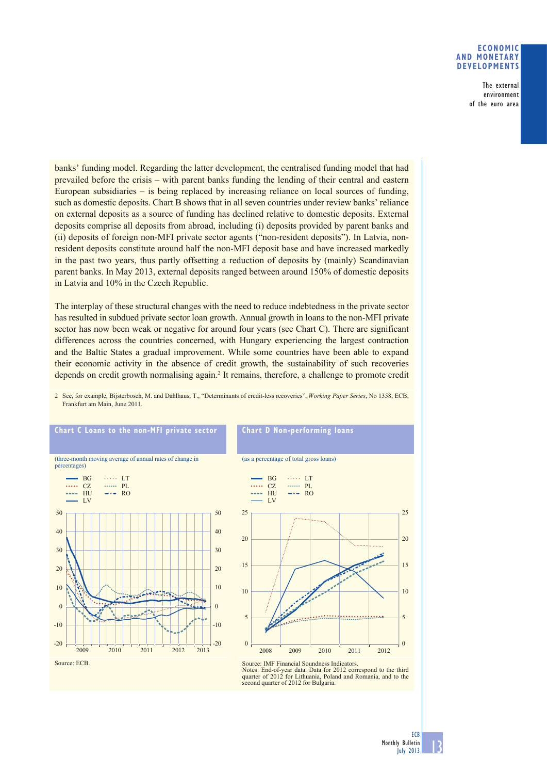## **ECONOMIC AND MONETARY DEVELOPMENTS**

 The external environment of the euro area

banks' funding model. Regarding the latter development, the centralised funding model that had prevailed before the crisis – with parent banks funding the lending of their central and eastern European subsidiaries – is being replaced by increasing reliance on local sources of funding, such as domestic deposits. Chart B shows that in all seven countries under review banks' reliance on external deposits as a source of funding has declined relative to domestic deposits. External deposits comprise all deposits from abroad, including (i) deposits provided by parent banks and (ii) deposits of foreign non-MFI private sector agents ("non-resident deposits"). In Latvia, nonresident deposits constitute around half the non-MFI deposit base and have increased markedly in the past two years, thus partly offsetting a reduction of deposits by (mainly) Scandinavian parent banks. In May 2013, external deposits ranged between around 150% of domestic deposits in Latvia and 10% in the Czech Republic.

The interplay of these structural changes with the need to reduce indebtedness in the private sector has resulted in subdued private sector loan growth. Annual growth in loans to the non-MFI private sector has now been weak or negative for around four years (see Chart C). There are significant differences across the countries concerned, with Hungary experiencing the largest contraction and the Baltic States a gradual improvement. While some countries have been able to expand their economic activity in the absence of credit growth, the sustainability of such recoveries depends on credit growth normalising again.<sup>2</sup> It remains, therefore, a challenge to promote credit



2 See, for example, Bijsterbosch, M. and Dahlhaus, T., "Determinants of credit-less recoveries", *Working Paper Series*, No 1358, ECB, Frankfurt am Main, June 2011.

13